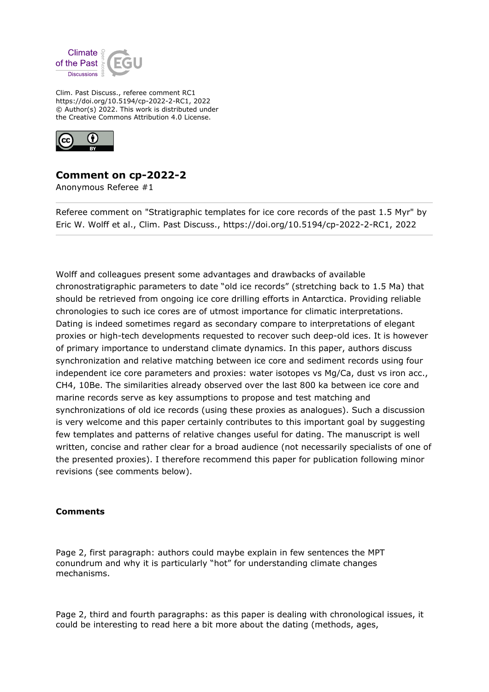

Clim. Past Discuss., referee comment RC1 https://doi.org/10.5194/cp-2022-2-RC1, 2022 © Author(s) 2022. This work is distributed under the Creative Commons Attribution 4.0 License.



## **Comment on cp-2022-2**

Anonymous Referee #1

Referee comment on "Stratigraphic templates for ice core records of the past 1.5 Myr" by Eric W. Wolff et al., Clim. Past Discuss., https://doi.org/10.5194/cp-2022-2-RC1, 2022

Wolff and colleagues present some advantages and drawbacks of available chronostratigraphic parameters to date "old ice records" (stretching back to 1.5 Ma) that should be retrieved from ongoing ice core drilling efforts in Antarctica. Providing reliable chronologies to such ice cores are of utmost importance for climatic interpretations. Dating is indeed sometimes regard as secondary compare to interpretations of elegant proxies or high-tech developments requested to recover such deep-old ices. It is however of primary importance to understand climate dynamics. In this paper, authors discuss synchronization and relative matching between ice core and sediment records using four independent ice core parameters and proxies: water isotopes vs Mg/Ca, dust vs iron acc., CH4, 10Be. The similarities already observed over the last 800 ka between ice core and marine records serve as key assumptions to propose and test matching and synchronizations of old ice records (using these proxies as analogues). Such a discussion is very welcome and this paper certainly contributes to this important goal by suggesting few templates and patterns of relative changes useful for dating. The manuscript is well written, concise and rather clear for a broad audience (not necessarily specialists of one of the presented proxies). I therefore recommend this paper for publication following minor revisions (see comments below).

## **Comments**

Page 2, first paragraph: authors could maybe explain in few sentences the MPT conundrum and why it is particularly "hot" for understanding climate changes mechanisms.

Page 2, third and fourth paragraphs: as this paper is dealing with chronological issues, it could be interesting to read here a bit more about the dating (methods, ages,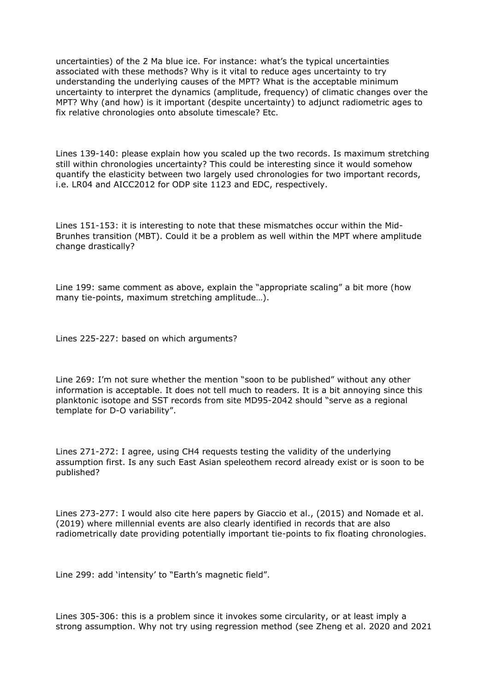uncertainties) of the 2 Ma blue ice. For instance: what's the typical uncertainties associated with these methods? Why is it vital to reduce ages uncertainty to try understanding the underlying causes of the MPT? What is the acceptable minimum uncertainty to interpret the dynamics (amplitude, frequency) of climatic changes over the MPT? Why (and how) is it important (despite uncertainty) to adjunct radiometric ages to fix relative chronologies onto absolute timescale? Etc.

Lines 139-140: please explain how you scaled up the two records. Is maximum stretching still within chronologies uncertainty? This could be interesting since it would somehow quantify the elasticity between two largely used chronologies for two important records, i.e. LR04 and AICC2012 for ODP site 1123 and EDC, respectively.

Lines 151-153: it is interesting to note that these mismatches occur within the Mid-Brunhes transition (MBT). Could it be a problem as well within the MPT where amplitude change drastically?

Line 199: same comment as above, explain the "appropriate scaling" a bit more (how many tie-points, maximum stretching amplitude…).

Lines 225-227: based on which arguments?

Line 269: I'm not sure whether the mention "soon to be published" without any other information is acceptable. It does not tell much to readers. It is a bit annoying since this planktonic isotope and SST records from site MD95-2042 should "serve as a regional template for D-O variability".

Lines 271-272: I agree, using CH4 requests testing the validity of the underlying assumption first. Is any such East Asian speleothem record already exist or is soon to be published?

Lines 273-277: I would also cite here papers by Giaccio et al., (2015) and Nomade et al. (2019) where millennial events are also clearly identified in records that are also radiometrically date providing potentially important tie-points to fix floating chronologies.

Line 299: add 'intensity' to "Earth's magnetic field".

Lines 305-306: this is a problem since it invokes some circularity, or at least imply a strong assumption. Why not try using regression method (see Zheng et al. 2020 and 2021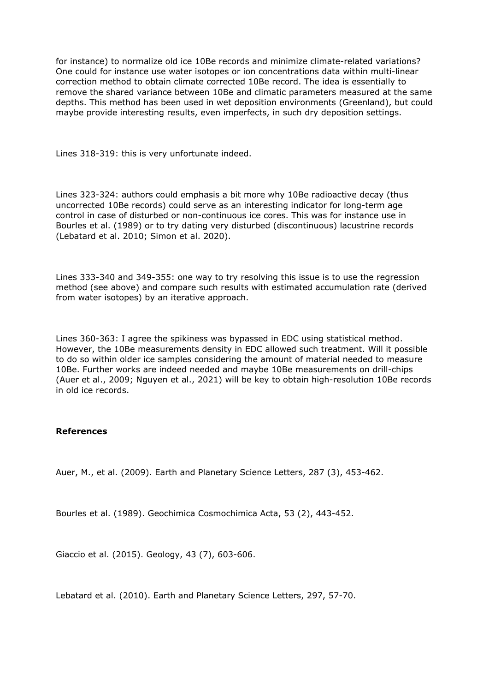for instance) to normalize old ice 10Be records and minimize climate-related variations? One could for instance use water isotopes or ion concentrations data within multi-linear correction method to obtain climate corrected 10Be record. The idea is essentially to remove the shared variance between 10Be and climatic parameters measured at the same depths. This method has been used in wet deposition environments (Greenland), but could maybe provide interesting results, even imperfects, in such dry deposition settings.

Lines 318-319: this is very unfortunate indeed.

Lines 323-324: authors could emphasis a bit more why 10Be radioactive decay (thus uncorrected 10Be records) could serve as an interesting indicator for long-term age control in case of disturbed or non-continuous ice cores. This was for instance use in Bourles et al. (1989) or to try dating very disturbed (discontinuous) lacustrine records (Lebatard et al. 2010; Simon et al. 2020).

Lines 333-340 and 349-355: one way to try resolving this issue is to use the regression method (see above) and compare such results with estimated accumulation rate (derived from water isotopes) by an iterative approach.

Lines 360-363: I agree the spikiness was bypassed in EDC using statistical method. However, the 10Be measurements density in EDC allowed such treatment. Will it possible to do so within older ice samples considering the amount of material needed to measure 10Be. Further works are indeed needed and maybe 10Be measurements on drill-chips (Auer et al., 2009; Nguyen et al., 2021) will be key to obtain high-resolution 10Be records in old ice records.

## **References**

Auer, M., et al. (2009). Earth and Planetary Science Letters, 287 (3), 453-462.

Bourles et al. (1989). Geochimica Cosmochimica Acta, 53 (2), 443-452.

Giaccio et al. (2015). Geology, 43 (7), 603-606.

Lebatard et al. (2010). Earth and Planetary Science Letters, 297, 57-70.